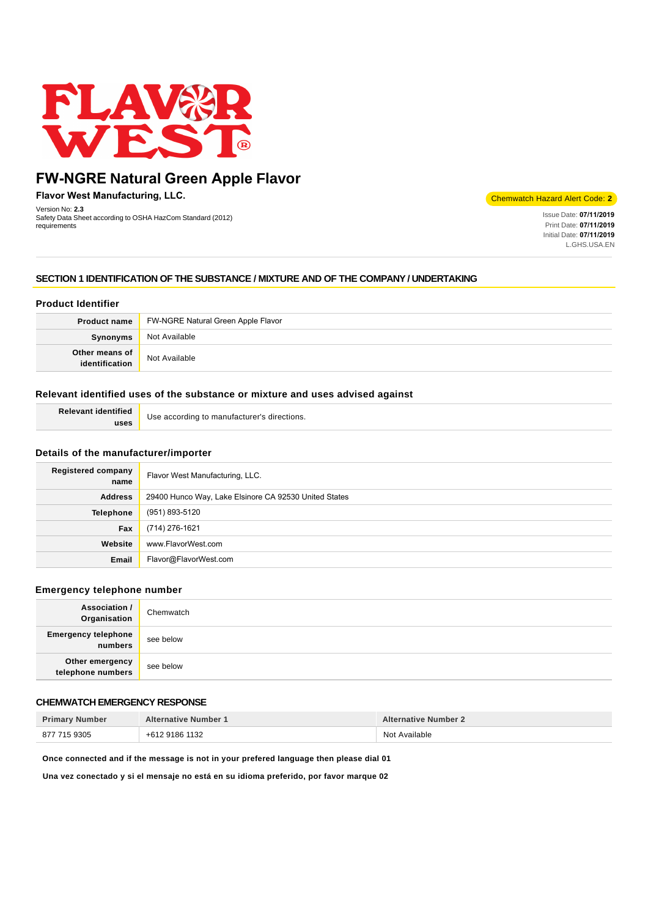

# **FW-NGRE Natural Green Apple Flavor**

**Flavor West Manufacturing, LLC.**

Version No: **2.3** Safety Data Sheet according to OSHA HazCom Standard (2012) requirements

Chemwatch Hazard Alert Code: **2**

Issue Date: **07/11/2019** Print Date: **07/11/2019** Initial Date: **07/11/2019** L.GHS.USA.EN

## **SECTION 1 IDENTIFICATION OF THE SUBSTANCE / MIXTURE AND OF THE COMPANY / UNDERTAKING**

# **Product Identifier**

| <b>Product name</b>              | FW-NGRE Natural Green Apple Flavor |
|----------------------------------|------------------------------------|
| Synonyms                         | Not Available                      |
| Other means of<br>identification | Not Available                      |

#### **Relevant identified uses of the substance or mixture and uses advised against**

| <b>Relevant identified</b> | Use according to manufacturer's directions. |
|----------------------------|---------------------------------------------|
| uses                       |                                             |

#### **Details of the manufacturer/importer**

| <b>Registered company</b><br>name | Flavor West Manufacturing, LLC.                       |
|-----------------------------------|-------------------------------------------------------|
| <b>Address</b>                    | 29400 Hunco Way, Lake Elsinore CA 92530 United States |
| <b>Telephone</b>                  | (951) 893-5120                                        |
| Fax                               | (714) 276-1621                                        |
| Website                           | www.FlavorWest.com                                    |
| Email                             | Flavor@FlavorWest.com                                 |

#### **Emergency telephone number**

| <b>Association /</b><br>Organisation  | Chemwatch |
|---------------------------------------|-----------|
| <b>Emergency telephone</b><br>numbers | see below |
| Other emergency<br>telephone numbers  | see below |

## **CHEMWATCH EMERGENCY RESPONSE**

| <b>Primary Number</b> | <b>Alternative Number 1</b> | <b>Alternative Number 2</b> |
|-----------------------|-----------------------------|-----------------------------|
| 877 715 9305          | +612 9186 1132              | Not Available               |

**Once connected and if the message is not in your prefered language then please dial 01**

**Una vez conectado y si el mensaje no está en su idioma preferido, por favor marque 02**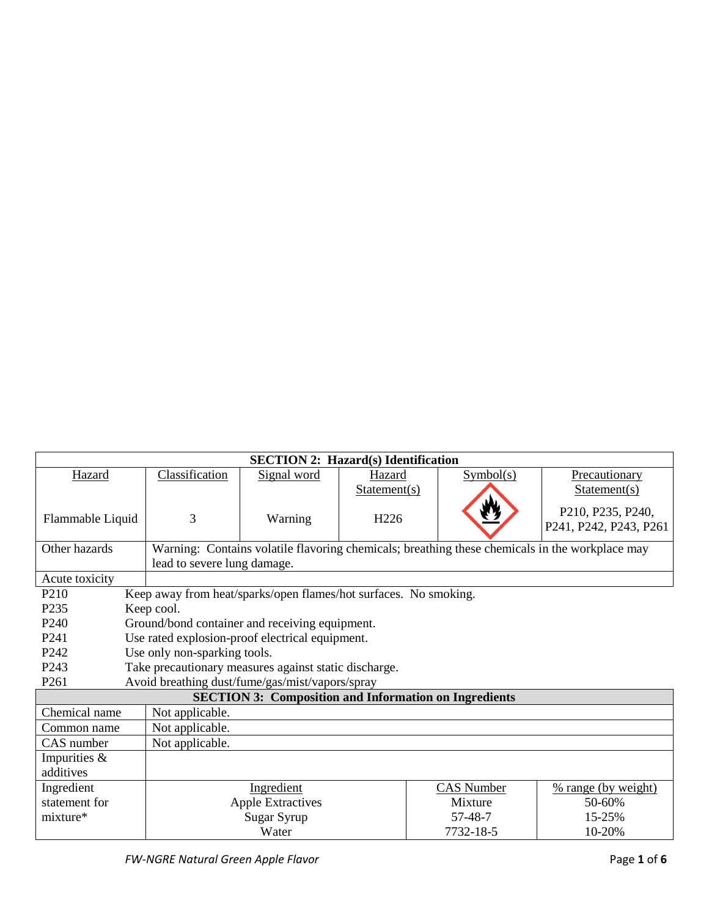| <b>SECTION 2: Hazard(s) Identification</b> |                              |                                                                  |                  |                                                                                                |                        |
|--------------------------------------------|------------------------------|------------------------------------------------------------------|------------------|------------------------------------------------------------------------------------------------|------------------------|
| Hazard                                     | Classification               | Signal word                                                      | Hazard           | Symbol(s)                                                                                      | Precautionary          |
|                                            |                              |                                                                  | Statement(s)     |                                                                                                | Statement(s)           |
|                                            |                              |                                                                  |                  |                                                                                                | P210, P235, P240,      |
| Flammable Liquid                           | 3                            | Warning                                                          | H <sub>226</sub> |                                                                                                | P241, P242, P243, P261 |
|                                            |                              |                                                                  |                  |                                                                                                |                        |
| Other hazards                              |                              |                                                                  |                  | Warning: Contains volatile flavoring chemicals; breathing these chemicals in the workplace may |                        |
|                                            | lead to severe lung damage.  |                                                                  |                  |                                                                                                |                        |
| Acute toxicity                             |                              |                                                                  |                  |                                                                                                |                        |
| P <sub>210</sub>                           |                              | Keep away from heat/sparks/open flames/hot surfaces. No smoking. |                  |                                                                                                |                        |
| P235                                       | Keep cool.                   |                                                                  |                  |                                                                                                |                        |
| P <sub>240</sub>                           |                              | Ground/bond container and receiving equipment.                   |                  |                                                                                                |                        |
| P <sub>241</sub>                           |                              | Use rated explosion-proof electrical equipment.                  |                  |                                                                                                |                        |
| P <sub>242</sub>                           | Use only non-sparking tools. |                                                                  |                  |                                                                                                |                        |
| P <sub>243</sub>                           |                              | Take precautionary measures against static discharge.            |                  |                                                                                                |                        |
| P <sub>261</sub>                           |                              | Avoid breathing dust/fume/gas/mist/vapors/spray                  |                  |                                                                                                |                        |
|                                            |                              |                                                                  |                  | <b>SECTION 3: Composition and Information on Ingredients</b>                                   |                        |
| Chemical name                              | Not applicable.              |                                                                  |                  |                                                                                                |                        |
| Common name                                | Not applicable.              |                                                                  |                  |                                                                                                |                        |
| Not applicable.<br>CAS number              |                              |                                                                  |                  |                                                                                                |                        |
| Impurities &                               |                              |                                                                  |                  |                                                                                                |                        |
| additives                                  |                              |                                                                  |                  |                                                                                                |                        |
| Ingredient                                 |                              | Ingredient                                                       |                  | CAS Number                                                                                     | % range (by weight)    |
| statement for                              |                              | <b>Apple Extractives</b>                                         |                  | Mixture                                                                                        | 50-60%                 |
| $mixture*$                                 |                              | Sugar Syrup                                                      |                  | 57-48-7                                                                                        | 15-25%                 |
|                                            |                              | Water                                                            |                  | 7732-18-5                                                                                      | 10-20%                 |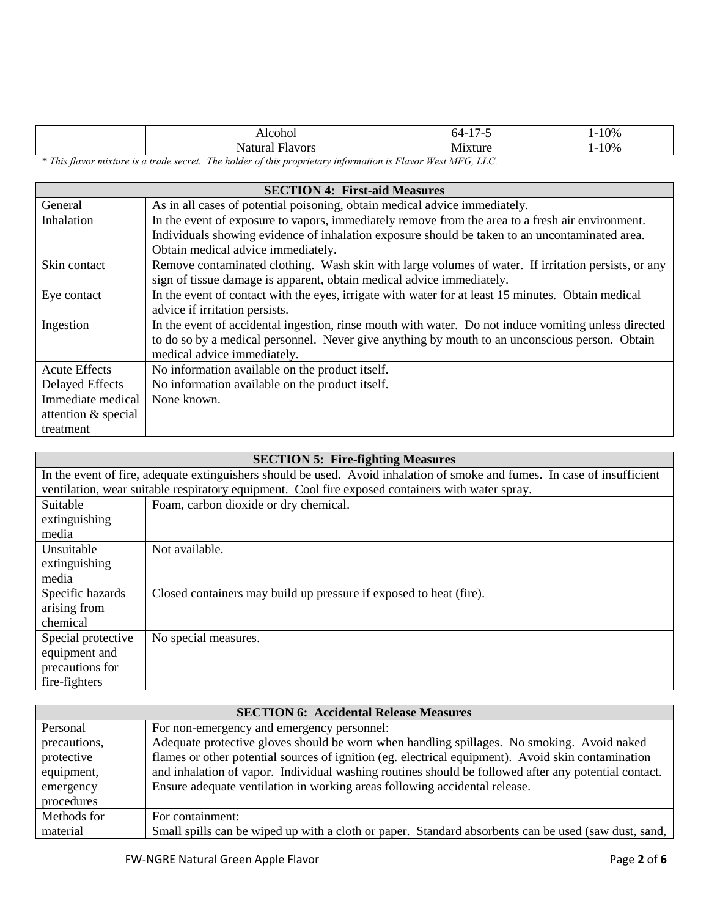|  | Alcohol            | 177<br>54-     | 1-10%     |
|--|--------------------|----------------|-----------|
|  | Natural<br>∹lavors | <b>Mixture</b> | $1 - 10%$ |
|  |                    |                |           |

*\* This flavor mixture is a trade secret. The holder of this proprietary information is Flavor West MFG, LLC.*

| <b>SECTION 4: First-aid Measures</b> |                                                                                                      |  |  |
|--------------------------------------|------------------------------------------------------------------------------------------------------|--|--|
| General                              | As in all cases of potential poisoning, obtain medical advice immediately.                           |  |  |
| Inhalation                           | In the event of exposure to vapors, immediately remove from the area to a fresh air environment.     |  |  |
|                                      | Individuals showing evidence of inhalation exposure should be taken to an uncontaminated area.       |  |  |
|                                      | Obtain medical advice immediately.                                                                   |  |  |
| Skin contact                         | Remove contaminated clothing. Wash skin with large volumes of water. If irritation persists, or any  |  |  |
|                                      | sign of tissue damage is apparent, obtain medical advice immediately.                                |  |  |
| Eye contact                          | In the event of contact with the eyes, irrigate with water for at least 15 minutes. Obtain medical   |  |  |
|                                      | advice if irritation persists.                                                                       |  |  |
| Ingestion                            | In the event of accidental ingestion, rinse mouth with water. Do not induce vomiting unless directed |  |  |
|                                      | to do so by a medical personnel. Never give anything by mouth to an unconscious person. Obtain       |  |  |
|                                      | medical advice immediately.                                                                          |  |  |
| <b>Acute Effects</b>                 | No information available on the product itself.                                                      |  |  |
| <b>Delayed Effects</b>               | No information available on the product itself.                                                      |  |  |
| Immediate medical                    | None known.                                                                                          |  |  |
| attention & special                  |                                                                                                      |  |  |
| treatment                            |                                                                                                      |  |  |

| <b>SECTION 5: Fire-fighting Measures</b>                                                                                  |                                                                                                  |  |
|---------------------------------------------------------------------------------------------------------------------------|--------------------------------------------------------------------------------------------------|--|
| In the event of fire, adequate extinguishers should be used. Avoid inhalation of smoke and fumes. In case of insufficient |                                                                                                  |  |
|                                                                                                                           | ventilation, wear suitable respiratory equipment. Cool fire exposed containers with water spray. |  |
| Suitable                                                                                                                  | Foam, carbon dioxide or dry chemical.                                                            |  |
| extinguishing                                                                                                             |                                                                                                  |  |
| media                                                                                                                     |                                                                                                  |  |
| Unsuitable                                                                                                                | Not available.                                                                                   |  |
| extinguishing                                                                                                             |                                                                                                  |  |
| media                                                                                                                     |                                                                                                  |  |
| Specific hazards                                                                                                          | Closed containers may build up pressure if exposed to heat (fire).                               |  |
| arising from                                                                                                              |                                                                                                  |  |
| chemical                                                                                                                  |                                                                                                  |  |
| Special protective                                                                                                        | No special measures.                                                                             |  |
| equipment and                                                                                                             |                                                                                                  |  |
| precautions for                                                                                                           |                                                                                                  |  |
| fire-fighters                                                                                                             |                                                                                                  |  |

| <b>SECTION 6: Accidental Release Measures</b> |                                                                                                      |  |
|-----------------------------------------------|------------------------------------------------------------------------------------------------------|--|
| Personal                                      | For non-emergency and emergency personnel:                                                           |  |
| precautions,                                  | Adequate protective gloves should be worn when handling spillages. No smoking. Avoid naked           |  |
| protective                                    | flames or other potential sources of ignition (eg. electrical equipment). Avoid skin contamination   |  |
| equipment,                                    | and inhalation of vapor. Individual washing routines should be followed after any potential contact. |  |
| emergency                                     | Ensure adequate ventilation in working areas following accidental release.                           |  |
| procedures                                    |                                                                                                      |  |
| Methods for                                   | For containment:                                                                                     |  |
| material                                      | Small spills can be wiped up with a cloth or paper. Standard absorbents can be used (saw dust, sand, |  |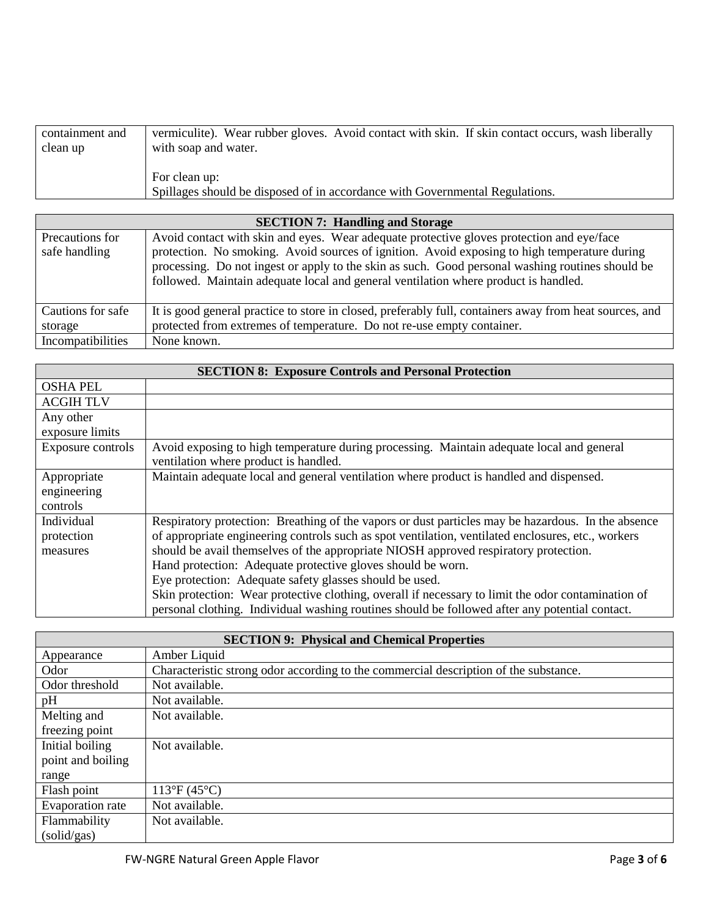| containment and | vermiculite). Wear rubber gloves. Avoid contact with skin. If skin contact occurs, wash liberally |
|-----------------|---------------------------------------------------------------------------------------------------|
| clean up        | with soap and water.                                                                              |
|                 | For clean up:<br>Spillages should be disposed of in accordance with Governmental Regulations.     |

| <b>SECTION 7: Handling and Storage</b> |                                                                                                         |  |  |
|----------------------------------------|---------------------------------------------------------------------------------------------------------|--|--|
| Precautions for                        | Avoid contact with skin and eyes. Wear adequate protective gloves protection and eye/face               |  |  |
| safe handling                          | protection. No smoking. Avoid sources of ignition. Avoid exposing to high temperature during            |  |  |
|                                        | processing. Do not ingest or apply to the skin as such. Good personal washing routines should be        |  |  |
|                                        | followed. Maintain adequate local and general ventilation where product is handled.                     |  |  |
|                                        |                                                                                                         |  |  |
| Cautions for safe                      | It is good general practice to store in closed, preferably full, containers away from heat sources, and |  |  |
| storage                                | protected from extremes of temperature. Do not re-use empty container.                                  |  |  |
| Incompatibilities                      | None known.                                                                                             |  |  |

| <b>SECTION 8: Exposure Controls and Personal Protection</b> |                                                                                                    |  |
|-------------------------------------------------------------|----------------------------------------------------------------------------------------------------|--|
| <b>OSHA PEL</b>                                             |                                                                                                    |  |
| <b>ACGIH TLV</b>                                            |                                                                                                    |  |
| Any other                                                   |                                                                                                    |  |
| exposure limits                                             |                                                                                                    |  |
| Exposure controls                                           | Avoid exposing to high temperature during processing. Maintain adequate local and general          |  |
|                                                             | ventilation where product is handled.                                                              |  |
| Appropriate                                                 | Maintain adequate local and general ventilation where product is handled and dispensed.            |  |
| engineering                                                 |                                                                                                    |  |
| controls                                                    |                                                                                                    |  |
| Individual                                                  | Respiratory protection: Breathing of the vapors or dust particles may be hazardous. In the absence |  |
| protection                                                  | of appropriate engineering controls such as spot ventilation, ventilated enclosures, etc., workers |  |
| measures                                                    | should be avail themselves of the appropriate NIOSH approved respiratory protection.               |  |
|                                                             | Hand protection: Adequate protective gloves should be worn.                                        |  |
|                                                             | Eye protection: Adequate safety glasses should be used.                                            |  |
|                                                             | Skin protection: Wear protective clothing, overall if necessary to limit the odor contamination of |  |
|                                                             | personal clothing. Individual washing routines should be followed after any potential contact.     |  |

| <b>SECTION 9: Physical and Chemical Properties</b> |                                                                                      |  |
|----------------------------------------------------|--------------------------------------------------------------------------------------|--|
| Appearance                                         | Amber Liquid                                                                         |  |
| Odor                                               | Characteristic strong odor according to the commercial description of the substance. |  |
| Odor threshold                                     | Not available.                                                                       |  |
| pH                                                 | Not available.                                                                       |  |
| Melting and                                        | Not available.                                                                       |  |
| freezing point                                     |                                                                                      |  |
| Initial boiling                                    | Not available.                                                                       |  |
| point and boiling                                  |                                                                                      |  |
| range                                              |                                                                                      |  |
| Flash point                                        | $113^{\circ}F(45^{\circ}C)$                                                          |  |
| Evaporation rate                                   | Not available.                                                                       |  |
| Flammability                                       | Not available.                                                                       |  |
| (solid/gas)                                        |                                                                                      |  |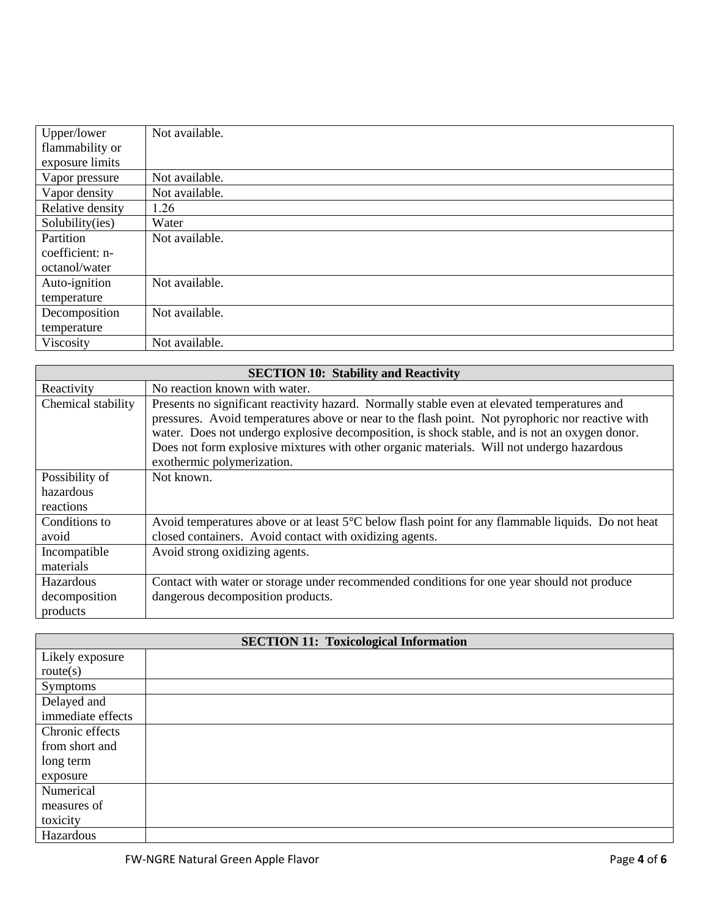| Upper/lower      | Not available. |
|------------------|----------------|
| flammability or  |                |
| exposure limits  |                |
| Vapor pressure   | Not available. |
| Vapor density    | Not available. |
| Relative density | 1.26           |
| Solubility(ies)  | Water          |
| Partition        | Not available. |
| coefficient: n-  |                |
| octanol/water    |                |
| Auto-ignition    | Not available. |
| temperature      |                |
| Decomposition    | Not available. |
| temperature      |                |
| Viscosity        | Not available. |

| <b>SECTION 10: Stability and Reactivity</b> |                                                                                                   |  |  |  |
|---------------------------------------------|---------------------------------------------------------------------------------------------------|--|--|--|
| Reactivity                                  | No reaction known with water.                                                                     |  |  |  |
| Chemical stability                          | Presents no significant reactivity hazard. Normally stable even at elevated temperatures and      |  |  |  |
|                                             | pressures. Avoid temperatures above or near to the flash point. Not pyrophoric nor reactive with  |  |  |  |
|                                             | water. Does not undergo explosive decomposition, is shock stable, and is not an oxygen donor.     |  |  |  |
|                                             | Does not form explosive mixtures with other organic materials. Will not undergo hazardous         |  |  |  |
|                                             | exothermic polymerization.                                                                        |  |  |  |
| Possibility of                              | Not known.                                                                                        |  |  |  |
| hazardous                                   |                                                                                                   |  |  |  |
| reactions                                   |                                                                                                   |  |  |  |
| Conditions to                               | Avoid temperatures above or at least 5°C below flash point for any flammable liquids. Do not heat |  |  |  |
| avoid                                       | closed containers. Avoid contact with oxidizing agents.                                           |  |  |  |
| Incompatible                                | Avoid strong oxidizing agents.                                                                    |  |  |  |
| materials                                   |                                                                                                   |  |  |  |
| Hazardous                                   | Contact with water or storage under recommended conditions for one year should not produce        |  |  |  |
| decomposition                               | dangerous decomposition products.                                                                 |  |  |  |
| products                                    |                                                                                                   |  |  |  |

| <b>SECTION 11: Toxicological Information</b> |  |  |
|----------------------------------------------|--|--|
| Likely exposure                              |  |  |
| route(s)                                     |  |  |
| Symptoms                                     |  |  |
| Delayed and                                  |  |  |
| immediate effects                            |  |  |
| Chronic effects                              |  |  |
| from short and                               |  |  |
| long term                                    |  |  |
| exposure                                     |  |  |
| Numerical                                    |  |  |
| measures of                                  |  |  |
| toxicity                                     |  |  |
| Hazardous                                    |  |  |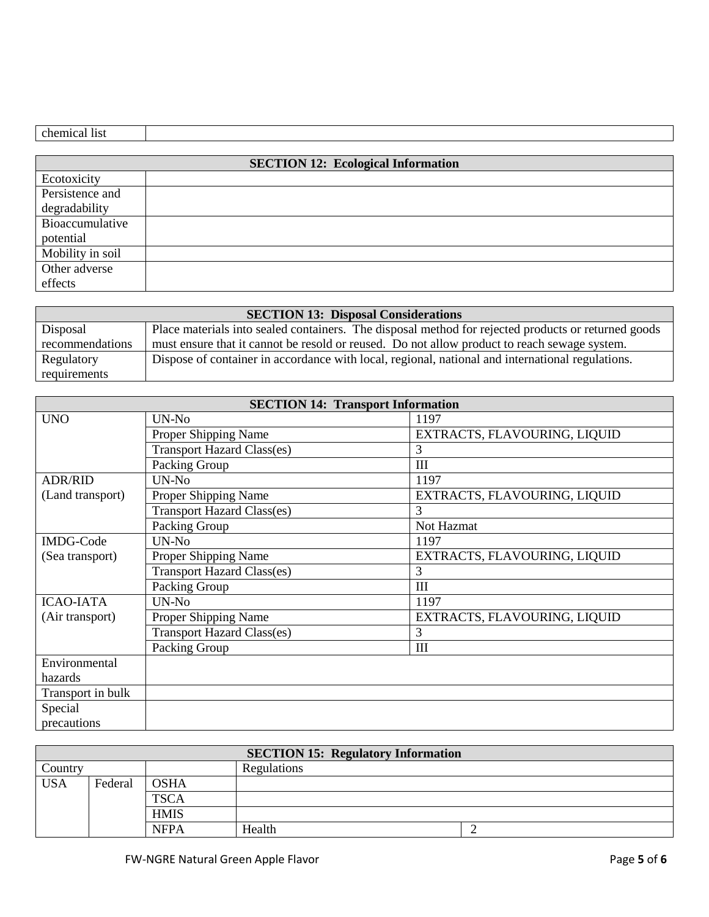| <b>SECTION 12: Ecological Information</b> |  |  |
|-------------------------------------------|--|--|
| Ecotoxicity                               |  |  |
| Persistence and                           |  |  |
| degradability                             |  |  |
| Bioaccumulative                           |  |  |
| potential                                 |  |  |
| Mobility in soil                          |  |  |
| Other adverse                             |  |  |
| effects                                   |  |  |

| <b>SECTION 13: Disposal Considerations</b> |                                                                                                     |  |  |
|--------------------------------------------|-----------------------------------------------------------------------------------------------------|--|--|
| Disposal                                   | Place materials into sealed containers. The disposal method for rejected products or returned goods |  |  |
| recommendations                            | must ensure that it cannot be resold or reused. Do not allow product to reach sewage system.        |  |  |
| Regulatory                                 | Dispose of container in accordance with local, regional, national and international regulations.    |  |  |
| requirements                               |                                                                                                     |  |  |

| <b>SECTION 14: Transport Information</b> |                                   |                              |  |
|------------------------------------------|-----------------------------------|------------------------------|--|
| <b>UNO</b>                               | UN-No                             | 1197                         |  |
|                                          | Proper Shipping Name              | EXTRACTS, FLAVOURING, LIQUID |  |
|                                          | <b>Transport Hazard Class(es)</b> | 3                            |  |
|                                          | Packing Group                     | Ш                            |  |
| <b>ADR/RID</b>                           | UN-No                             | 1197                         |  |
| (Land transport)                         | Proper Shipping Name              | EXTRACTS, FLAVOURING, LIQUID |  |
|                                          | <b>Transport Hazard Class(es)</b> | 3                            |  |
|                                          | Packing Group                     | Not Hazmat                   |  |
| <b>IMDG-Code</b>                         | UN-No                             | 1197                         |  |
| (Sea transport)                          | Proper Shipping Name              | EXTRACTS, FLAVOURING, LIQUID |  |
|                                          | <b>Transport Hazard Class(es)</b> | 3                            |  |
|                                          | Packing Group                     | Ш                            |  |
| <b>ICAO-IATA</b>                         | UN-No                             | 1197                         |  |
| (Air transport)                          | Proper Shipping Name              | EXTRACTS, FLAVOURING, LIQUID |  |
|                                          | <b>Transport Hazard Class(es)</b> | 3                            |  |
|                                          | Packing Group                     | III                          |  |
| Environmental                            |                                   |                              |  |
| hazards                                  |                                   |                              |  |
| Transport in bulk                        |                                   |                              |  |
| Special                                  |                                   |                              |  |
| precautions                              |                                   |                              |  |

| <b>SECTION 15: Regulatory Information</b> |             |             |        |  |
|-------------------------------------------|-------------|-------------|--------|--|
| Country                                   | Regulations |             |        |  |
| <b>USA</b>                                | Federal     | <b>OSHA</b> |        |  |
|                                           |             | <b>TSCA</b> |        |  |
|                                           |             | <b>HMIS</b> |        |  |
|                                           |             | <b>NFPA</b> | Health |  |